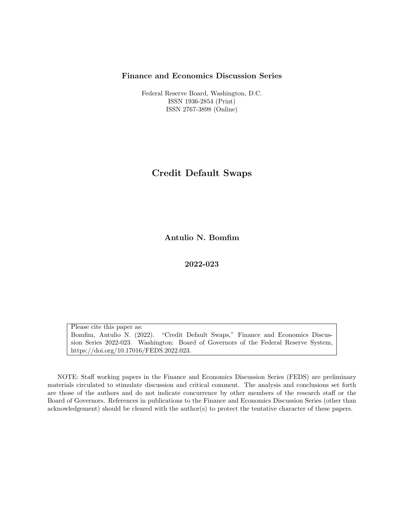# Finance and Economics Discussion Series

Federal Reserve Board, Washington, D.C. ISSN 1936-2854 (Print) ISSN 2767-3898 (Online)

# Credit Default Swaps

Antulio N. Bomfim

2022-023

Please cite this paper as: Bomfim, Antulio N. (2022). "Credit Default Swaps," Finance and Economics Discussion Series 2022-023. Washington: Board of Governors of the Federal Reserve System, https://doi.org/10.17016/FEDS.2022.023.

NOTE: Staff working papers in the Finance and Economics Discussion Series (FEDS) are preliminary materials circulated to stimulate discussion and critical comment. The analysis and conclusions set forth are those of the authors and do not indicate concurrence by other members of the research staff or the Board of Governors. References in publications to the Finance and Economics Discussion Series (other than acknowledgement) should be cleared with the author(s) to protect the tentative character of these papers.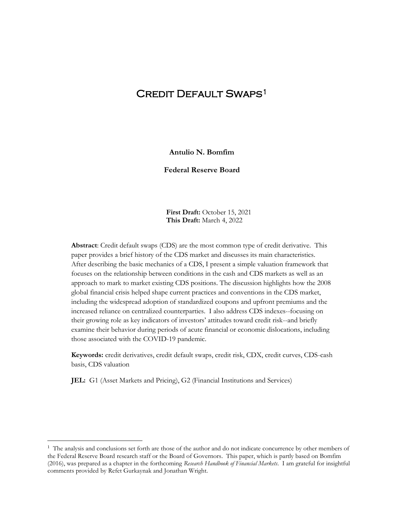# CREDIT DEFAULT SWAPS<sup>1</sup>

**Antulio N. Bomfim**

**Federal Reserve Board**

**First Draft:** October 15, 2021 **This Draft:** March 4, 2022

**Abstract**: Credit default swaps (CDS) are the most common type of credit derivative. This paper provides a brief history of the CDS market and discusses its main characteristics. After describing the basic mechanics of a CDS, I present a simple valuation framework that focuses on the relationship between conditions in the cash and CDS markets as well as an approach to mark to market existing CDS positions. The discussion highlights how the 2008 global financial crisis helped shape current practices and conventions in the CDS market, including the widespread adoption of standardized coupons and upfront premiums and the increased reliance on centralized counterparties. I also address CDS indexes--focusing on their growing role as key indicators of investors' attitudes toward credit risk--and briefly examine their behavior during periods of acute financial or economic dislocations, including those associated with the COVID-19 pandemic.

**Keywords:** credit derivatives, credit default swaps, credit risk, CDX, credit curves, CDS-cash basis, CDS valuation

**JEL:** G1 (Asset Markets and Pricing), G2 (Financial Institutions and Services)

<sup>&</sup>lt;sup>1</sup> The analysis and conclusions set forth are those of the author and do not indicate concurrence by other members of the Federal Reserve Board research staff or the Board of Governors. This paper, which is partly based on Bomfim (2016), was prepared as a chapter in the forthcoming *Research Handbook of Financial Markets*. I am grateful for insightful comments provided by Refet Gurkaynak and Jonathan Wright.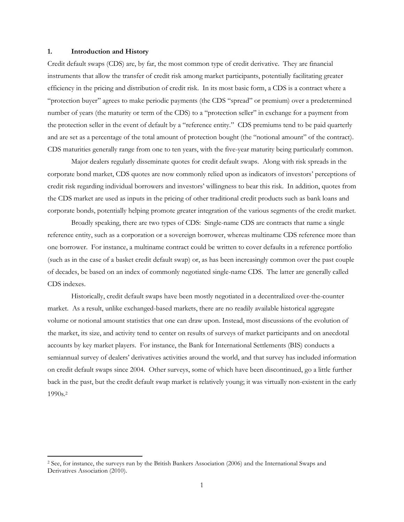#### **1. Introduction and History**

Credit default swaps (CDS) are, by far, the most common type of credit derivative. They are financial instruments that allow the transfer of credit risk among market participants, potentially facilitating greater efficiency in the pricing and distribution of credit risk. In its most basic form, a CDS is a contract where a "protection buyer" agrees to make periodic payments (the CDS "spread" or premium) over a predetermined number of years (the maturity or term of the CDS) to a "protection seller" in exchange for a payment from the protection seller in the event of default by a "reference entity." CDS premiums tend to be paid quarterly and are set as a percentage of the total amount of protection bought (the "notional amount" of the contract). CDS maturities generally range from one to ten years, with the five-year maturity being particularly common.

Major dealers regularly disseminate quotes for credit default swaps. Along with risk spreads in the corporate bond market, CDS quotes are now commonly relied upon as indicators of investors' perceptions of credit risk regarding individual borrowers and investors' willingness to bear this risk. In addition, quotes from the CDS market are used as inputs in the pricing of other traditional credit products such as bank loans and corporate bonds, potentially helping promote greater integration of the various segments of the credit market.

Broadly speaking, there are two types of CDS: Single-name CDS are contracts that name a single reference entity, such as a corporation or a sovereign borrower, whereas multiname CDS reference more than one borrower. For instance, a multiname contract could be written to cover defaults in a reference portfolio (such as in the case of a basket credit default swap) or, as has been increasingly common over the past couple of decades, be based on an index of commonly negotiated single-name CDS. The latter are generally called CDS indexes.

Historically, credit default swaps have been mostly negotiated in a decentralized over-the-counter market. As a result, unlike exchanged-based markets, there are no readily available historical aggregate volume or notional amount statistics that one can draw upon. Instead, most discussions of the evolution of the market, its size, and activity tend to center on results of surveys of market participants and on anecdotal accounts by key market players. For instance, the Bank for International Settlements (BIS) conducts a semiannual survey of dealers' derivatives activities around the world, and that survey has included information on credit default swaps since 2004. Other surveys, some of which have been discontinued, go a little further back in the past, but the credit default swap market is relatively young; it was virtually non-existent in the early 1990s.<sup>2</sup>

<sup>2</sup> See, for instance, the surveys run by the British Bankers Association (2006) and the International Swaps and Derivatives Association (2010).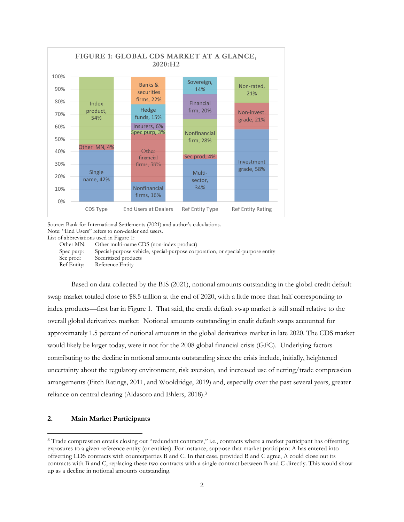

Source: Bank for International Settlements (2021) and author's calculations. Note: "End Users" refers to non-dealer end users.

List of abbreviations used in Figure 1:

| $\sim$ 0. apple viations ased in 1 igure 1. |                                                                                 |
|---------------------------------------------|---------------------------------------------------------------------------------|
| Other MN:                                   | Other multi-name CDS (non-index product)                                        |
| Spec purp:                                  | Special-purpose vehicle, special-purpose corporation, or special-purpose entity |
| Sec prod:                                   | Securitized products                                                            |
| Ref Entity:                                 | Reference Entity                                                                |

Based on data collected by the BIS (2021), notional amounts outstanding in the global credit default swap market totaled close to \$8.5 trillion at the end of 2020, with a little more than half corresponding to index products—first bar in Figure 1. That said, the credit default swap market is still small relative to the overall global derivatives market: Notional amounts outstanding in credit default swaps accounted for approximately 1.5 percent of notional amounts in the global derivatives market in late 2020. The CDS market would likely be larger today, were it not for the 2008 global financial crisis (GFC). Underlying factors contributing to the decline in notional amounts outstanding since the crisis include, initially, heightened uncertainty about the regulatory environment, risk aversion, and increased use of netting/trade compression arrangements (Fitch Ratings, 2011, and Wooldridge, 2019) and, especially over the past several years, greater reliance on central clearing (Aldasoro and Ehlers, 2018).<sup>3</sup>

# **2. Main Market Participants**

<sup>&</sup>lt;sup>3</sup> Trade compression entails closing out "redundant contracts," i.e., contracts where a market participant has offsetting exposures to a given reference entity (or entities). For instance, suppose that market participant A has entered into offsetting CDS contracts with counterparties B and C. In that case, provided B and C agree, A could close out its contracts with B and C, replacing these two contracts with a single contract between B and C directly. This would show up as a decline in notional amounts outstanding.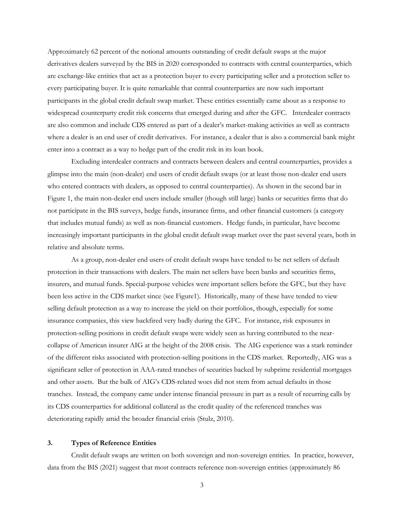Approximately 62 percent of the notional amounts outstanding of credit default swaps at the major derivatives dealers surveyed by the BIS in 2020 corresponded to contracts with central counterparties, which are exchange-like entities that act as a protection buyer to every participating seller and a protection seller to every participating buyer. It is quite remarkable that central counterparties are now such important participants in the global credit default swap market. These entities essentially came about as a response to widespread counterparty credit risk concerns that emerged during and after the GFC. Interdealer contracts are also common and include CDS entered as part of a dealer's market-making activities as well as contracts where a dealer is an end user of credit derivatives. For instance, a dealer that is also a commercial bank might enter into a contract as a way to hedge part of the credit risk in its loan book.

Excluding interdealer contracts and contracts between dealers and central counterparties, provides a glimpse into the main (non-dealer) end users of credit default swaps (or at least those non-dealer end users who entered contracts with dealers, as opposed to central counterparties). As shown in the second bar in Figure 1, the main non-dealer end users include smaller (though still large) banks or securities firms that do not participate in the BIS surveys, hedge funds, insurance firms, and other financial customers (a category that includes mutual funds) as well as non-financial customers. Hedge funds, in particular, have become increasingly important participants in the global credit default swap market over the past several years, both in relative and absolute terms.

As a group, non-dealer end users of credit default swaps have tended to be net sellers of default protection in their transactions with dealers. The main net sellers have been banks and securities firms, insurers, and mutual funds. Special-purpose vehicles were important sellers before the GFC, but they have been less active in the CDS market since (see Figure1). Historically, many of these have tended to view selling default protection as a way to increase the yield on their portfolios, though, especially for some insurance companies, this view backfired very badly during the GFC. For instance, risk exposures in protection-selling positions in credit default swaps were widely seen as having contributed to the nearcollapse of American insurer AIG at the height of the 2008 crisis. The AIG experience was a stark reminder of the different risks associated with protection-selling positions in the CDS market. Reportedly, AIG was a significant seller of protection in AAA-rated tranches of securities backed by subprime residential mortgages and other assets. But the bulk of AIG's CDS-related woes did not stem from actual defaults in those tranches. Instead, the company came under intense financial pressure in part as a result of recurring calls by its CDS counterparties for additional collateral as the credit quality of the referenced tranches was deteriorating rapidly amid the broader financial crisis (Stulz, 2010).

#### **3. Types of Reference Entities**

Credit default swaps are written on both sovereign and non-sovereign entities. In practice, however, data from the BIS (2021) suggest that most contracts reference non-sovereign entities (approximately 86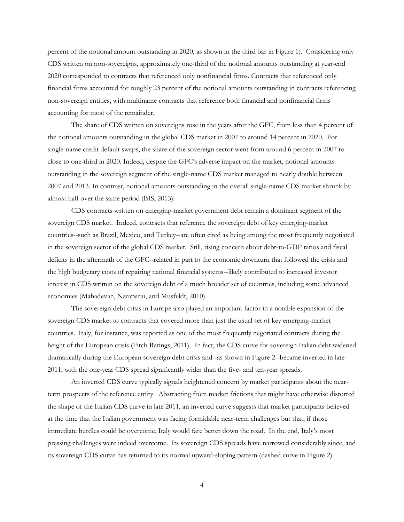percent of the notional amount outstanding in 2020, as shown in the third bar in Figure 1). Considering only CDS written on non-sovereigns, approximately one-third of the notional amounts outstanding at year-end 2020 corresponded to contracts that referenced only nonfinancial firms. Contracts that referenced only financial firms accounted for roughly 23 percent of the notional amounts outstanding in contracts referencing non-sovereign entities, with multiname contracts that reference both financial and nonfinancial firms accounting for most of the remainder.

The share of CDS written on sovereigns rose in the years after the GFC, from less than 4 percent of the notional amounts outstanding in the global CDS market in 2007 to around 14 percent in 2020. For single-name credit default swaps, the share of the sovereign sector went from around 6 percent in 2007 to close to one-third in 2020. Indeed, despite the GFC's adverse impact on the market, notional amounts outstanding in the sovereign segment of the single-name CDS market managed to nearly double between 2007 and 2013. In contrast, notional amounts outstanding in the overall single-name CDS market shrunk by almost half over the same period (BIS, 2013).

CDS contracts written on emerging-market government debt remain a dominant segment of the sovereign CDS market. Indeed, contracts that reference the sovereign debt of key emerging-market countries--such as Brazil, Mexico, and Turkey--are often cited as being among the most frequently negotiated in the sovereign sector of the global CDS market. Still, rising concern about debt-to-GDP ratios and fiscal deficits in the aftermath of the GFC--related in part to the economic downturn that followed the crisis and the high budgetary costs of repairing national financial systems--likely contributed to increased investor interest in CDS written on the sovereign debt of a much broader set of countries, including some advanced economies (Mahadevan, Naraparju, and Musfeldt, 2010).

The sovereign debt crisis in Europe also played an important factor in a notable expansion of the sovereign CDS market to contracts that covered more than just the usual set of key emerging-market countries. Italy, for instance, was reported as one of the most frequently negotiated contracts during the height of the European crisis (Fitch Ratings, 2011). In fact, the CDS curve for sovereign Italian debt widened dramatically during the European sovereign debt crisis and--as shown in Figure 2--became inverted in late 2011, with the one-year CDS spread significantly wider than the five- and ten-year spreads.

An inverted CDS curve typically signals heightened concern by market participants about the nearterm prospects of the reference entity. Abstracting from market frictions that might have otherwise distorted the shape of the Italian CDS curve in late 2011, an inverted curve suggests that market participants believed at the time that the Italian government was facing formidable near-term challenges but that, if those immediate hurdles could be overcome, Italy would fare better down the road. In the end, Italy's most pressing challenges were indeed overcome. Its sovereign CDS spreads have narrowed considerably since, and its sovereign CDS curve has returned to its normal upward-sloping pattern (dashed curve in Figure 2).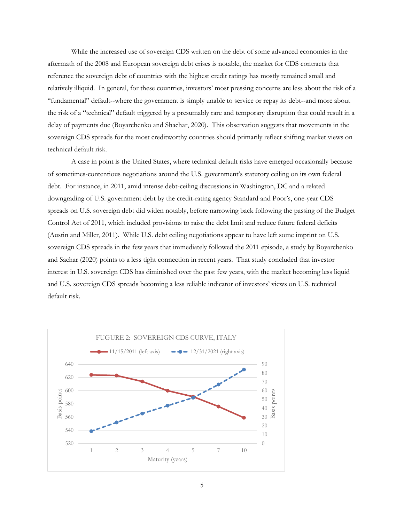While the increased use of sovereign CDS written on the debt of some advanced economies in the aftermath of the 2008 and European sovereign debt crises is notable, the market for CDS contracts that reference the sovereign debt of countries with the highest credit ratings has mostly remained small and relatively illiquid. In general, for these countries, investors' most pressing concerns are less about the risk of a "fundamental" default--where the government is simply unable to service or repay its debt--and more about the risk of a "technical" default triggered by a presumably rare and temporary disruption that could result in a delay of payments due (Boyarchenko and Shachar, 2020). This observation suggests that movements in the sovereign CDS spreads for the most creditworthy countries should primarily reflect shifting market views on technical default risk.

A case in point is the United States, where technical default risks have emerged occasionally because of sometimes-contentious negotiations around the U.S. government's statutory ceiling on its own federal debt. For instance, in 2011, amid intense debt-ceiling discussions in Washington, DC and a related downgrading of U.S. government debt by the credit-rating agency Standard and Poor's, one-year CDS spreads on U.S. sovereign debt did widen notably, before narrowing back following the passing of the Budget Control Act of 2011, which included provisions to raise the debt limit and reduce future federal deficits (Austin and Miller, 2011). While U.S. debt ceiling negotiations appear to have left some imprint on U.S. sovereign CDS spreads in the few years that immediately followed the 2011 episode, a study by Boyarchenko and Sachar (2020) points to a less tight connection in recent years. That study concluded that investor interest in U.S. sovereign CDS has diminished over the past few years, with the market becoming less liquid and U.S. sovereign CDS spreads becoming a less reliable indicator of investors' views on U.S. technical default risk.

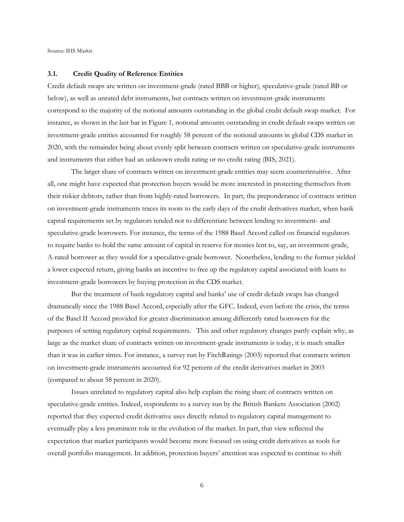Source: IHS Markit

#### **3.1. Credit Quality of Reference Entities**

Credit default swaps are written on investment-grade (rated BBB or higher), speculative-grade (rated BB or below), as well as unrated debt instruments, but contracts written on investment-grade instruments correspond to the majority of the notional amounts outstanding in the global credit default swap market. For instance, as shown in the last bar in Figure 1, notional amounts outstanding in credit default swaps written on investment-grade entities accounted for roughly 58 percent of the notional amounts in global CDS market in 2020, with the remainder being about evenly split between contracts written on speculative-grade instruments and instruments that either had an unknown credit rating or no credit rating (BIS, 2021).

The larger share of contracts written on investment-grade entities may seem counterintuitive. After all, one might have expected that protection buyers would be more interested in protecting themselves from their riskier debtors, rather than from highly-rated borrowers. In part, the preponderance of contracts written on investment-grade instruments traces its roots to the early days of the credit derivatives market, when bank capital requirements set by regulators tended not to differentiate between lending to investment- and speculative-grade borrowers. For instance, the terms of the 1988 Basel Accord called on financial regulators to require banks to hold the same amount of capital in reserve for monies lent to, say, an investment-grade, A-rated borrower as they would for a speculative-grade borrower. Nonetheless, lending to the former yielded a lower expected return, giving banks an incentive to free up the regulatory capital associated with loans to investment-grade borrowers by buying protection in the CDS market.

But the treatment of bank regulatory capital and banks' use of credit default swaps has changed dramatically since the 1988 Basel Accord, especially after the GFC. Indeed, even before the crisis, the terms of the Basel II Accord provided for greater discrimination among differently rated borrowers for the purposes of setting regulatory capital requirements. This and other regulatory changes partly explain why, as large as the market share of contracts written on investment-grade instruments is today, it is much smaller than it was in earlier times. For instance, a survey run by FitchRatings (2003) reported that contracts written on investment-grade instruments accounted for 92 percent of the credit derivatives market in 2003 (compared to about 58 percent in 2020).

Issues unrelated to regulatory capital also help explain the rising share of contracts written on speculative-grade entities. Indeed, respondents to a survey run by the British Bankers Association (2002) reported that they expected credit derivative uses directly related to regulatory capital management to eventually play a less prominent role in the evolution of the market. In part, that view reflected the expectation that market participants would become more focused on using credit derivatives as tools for overall portfolio management. In addition, protection buyers' attention was expected to continue to shift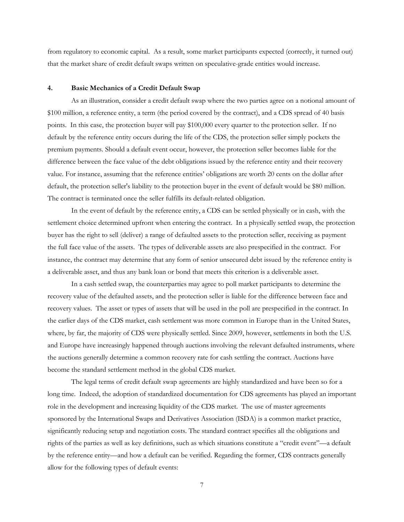from regulatory to economic capital. As a result, some market participants expected (correctly, it turned out) that the market share of credit default swaps written on speculative-grade entities would increase.

# **4. Basic Mechanics of a Credit Default Swap**

As an illustration, consider a credit default swap where the two parties agree on a notional amount of \$100 million, a reference entity, a term (the period covered by the contract), and a CDS spread of 40 basis points. In this case, the protection buyer will pay \$100,000 every quarter to the protection seller. If no default by the reference entity occurs during the life of the CDS, the protection seller simply pockets the premium payments. Should a default event occur, however, the protection seller becomes liable for the difference between the face value of the debt obligations issued by the reference entity and their recovery value. For instance, assuming that the reference entities' obligations are worth 20 cents on the dollar after default, the protection seller's liability to the protection buyer in the event of default would be \$80 million. The contract is terminated once the seller fulfills its default-related obligation.

In the event of default by the reference entity, a CDS can be settled physically or in cash, with the settlement choice determined upfront when entering the contract. In a physically settled swap, the protection buyer has the right to sell (deliver) a range of defaulted assets to the protection seller, receiving as payment the full face value of the assets. The types of deliverable assets are also prespecified in the contract. For instance, the contract may determine that any form of senior unsecured debt issued by the reference entity is a deliverable asset, and thus any bank loan or bond that meets this criterion is a deliverable asset.

In a cash settled swap, the counterparties may agree to poll market participants to determine the recovery value of the defaulted assets, and the protection seller is liable for the difference between face and recovery values. The asset or types of assets that will be used in the poll are prespecified in the contract. In the earlier days of the CDS market, cash settlement was more common in Europe than in the United States, where, by far, the majority of CDS were physically settled. Since 2009, however, settlements in both the U.S. and Europe have increasingly happened through auctions involving the relevant defaulted instruments, where the auctions generally determine a common recovery rate for cash settling the contract. Auctions have become the standard settlement method in the global CDS market.

The legal terms of credit default swap agreements are highly standardized and have been so for a long time. Indeed, the adoption of standardized documentation for CDS agreements has played an important role in the development and increasing liquidity of the CDS market. The use of master agreements sponsored by the International Swaps and Derivatives Association (ISDA) is a common market practice, significantly reducing setup and negotiation costs. The standard contract specifies all the obligations and rights of the parties as well as key definitions, such as which situations constitute a "credit event"—a default by the reference entity—and how a default can be verified. Regarding the former, CDS contracts generally allow for the following types of default events: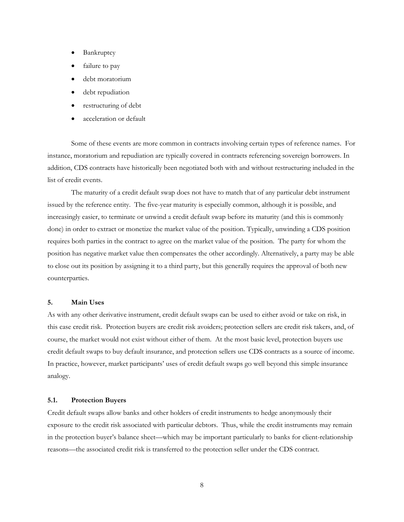- Bankruptcy
- failure to pay
- debt moratorium
- debt repudiation
- restructuring of debt
- acceleration or default

Some of these events are more common in contracts involving certain types of reference names. For instance, moratorium and repudiation are typically covered in contracts referencing sovereign borrowers. In addition, CDS contracts have historically been negotiated both with and without restructuring included in the list of credit events.

The maturity of a credit default swap does not have to match that of any particular debt instrument issued by the reference entity. The five-year maturity is especially common, although it is possible, and increasingly easier, to terminate or unwind a credit default swap before its maturity (and this is commonly done) in order to extract or monetize the market value of the position. Typically, unwinding a CDS position requires both parties in the contract to agree on the market value of the position. The party for whom the position has negative market value then compensates the other accordingly. Alternatively, a party may be able to close out its position by assigning it to a third party, but this generally requires the approval of both new counterparties.

#### **5. Main Uses**

As with any other derivative instrument, credit default swaps can be used to either avoid or take on risk, in this case credit risk. Protection buyers are credit risk avoiders; protection sellers are credit risk takers, and, of course, the market would not exist without either of them. At the most basic level, protection buyers use credit default swaps to buy default insurance, and protection sellers use CDS contracts as a source of income. In practice, however, market participants' uses of credit default swaps go well beyond this simple insurance analogy.

#### **5.1. Protection Buyers**

Credit default swaps allow banks and other holders of credit instruments to hedge anonymously their exposure to the credit risk associated with particular debtors. Thus, while the credit instruments may remain in the protection buyer's balance sheet—which may be important particularly to banks for client-relationship reasons—the associated credit risk is transferred to the protection seller under the CDS contract.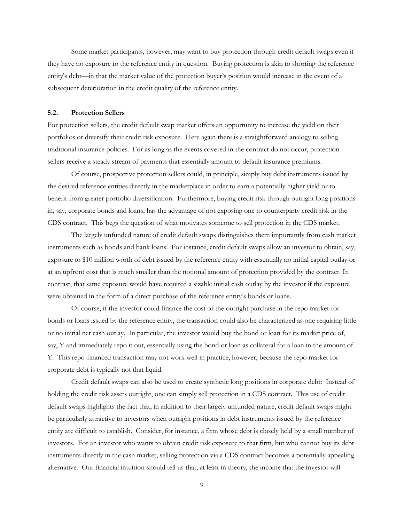Some market participants, however, may want to buy protection through credit default swaps even if they have no exposure to the reference entity in question. Buying protection is akin to shorting the reference entity's debt—in that the market value of the protection buyer's position would increase in the event of a subsequent deterioration in the credit quality of the reference entity.

## **5.2. Protection Sellers**

For protection sellers, the credit default swap market offers an opportunity to increase the yield on their portfolios or diversify their credit risk exposure. Here again there is a straightforward analogy to selling traditional insurance policies. For as long as the events covered in the contract do not occur, protection sellers receive a steady stream of payments that essentially amount to default insurance premiums.

Of course, prospective protection sellers could, in principle, simply buy debt instruments issued by the desired reference entities directly in the marketplace in order to earn a potentially higher yield or to benefit from greater portfolio diversification. Furthermore, buying credit risk through outright long positions in, say, corporate bonds and loans, has the advantage of not exposing one to counterparty credit risk in the CDS contract. This begs the question of what motivates someone to sell protection in the CDS market.

The largely unfunded nature of credit default swaps distinguishes them importantly from cash market instruments such as bonds and bank loans. For instance, credit default swaps allow an investor to obtain, say, exposure to \$10 million worth of debt issued by the reference entity with essentially no initial capital outlay or at an upfront cost that is much smaller than the notional amount of protection provided by the contract. In contrast, that same exposure would have required a sizable initial cash outlay by the investor if the exposure were obtained in the form of a direct purchase of the reference entity's bonds or loans.

Of course, if the investor could finance the cost of the outright purchase in the repo market for bonds or loans issued by the reference entity, the transaction could also be characterized as one requiring little or no initial net cash outlay. In particular, the investor would buy the bond or loan for its market price of, say, Y and immediately repo it out, essentially using the bond or loan as collateral for a loan in the amount of Y. This repo-financed transaction may not work well in practice, however, because the repo market for corporate debt is typically not that liquid.

Credit default swaps can also be used to create synthetic long positions in corporate debt: Instead of holding the credit risk assets outright, one can simply sell protection in a CDS contract. This use of credit default swaps highlights the fact that, in addition to their largely unfunded nature, credit default swaps might be particularly attractive to investors when outright positions in debt instruments issued by the reference entity are difficult to establish. Consider, for instance, a firm whose debt is closely held by a small number of investors. For an investor who wants to obtain credit risk exposure to that firm, but who cannot buy its debt instruments directly in the cash market, selling protection via a CDS contract becomes a potentially appealing alternative. Our financial intuition should tell us that, at least in theory, the income that the investor will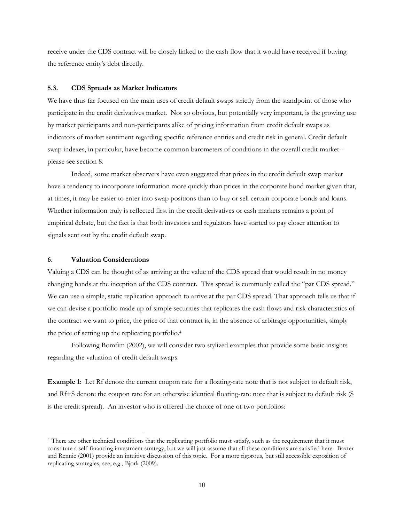receive under the CDS contract will be closely linked to the cash flow that it would have received if buying the reference entity's debt directly.

## **5.3. CDS Spreads as Market Indicators**

We have thus far focused on the main uses of credit default swaps strictly from the standpoint of those who participate in the credit derivatives market. Not so obvious, but potentially very important, is the growing use by market participants and non-participants alike of pricing information from credit default swaps as indicators of market sentiment regarding specific reference entities and credit risk in general. Credit default swap indexes, in particular, have become common barometers of conditions in the overall credit market- please see section 8.

Indeed, some market observers have even suggested that prices in the credit default swap market have a tendency to incorporate information more quickly than prices in the corporate bond market given that, at times, it may be easier to enter into swap positions than to buy or sell certain corporate bonds and loans. Whether information truly is reflected first in the credit derivatives or cash markets remains a point of empirical debate, but the fact is that both investors and regulators have started to pay closer attention to signals sent out by the credit default swap.

## **6. Valuation Considerations**

Valuing a CDS can be thought of as arriving at the value of the CDS spread that would result in no money changing hands at the inception of the CDS contract. This spread is commonly called the "par CDS spread." We can use a simple, static replication approach to arrive at the par CDS spread. That approach tells us that if we can devise a portfolio made up of simple securities that replicates the cash flows and risk characteristics of the contract we want to price, the price of that contract is, in the absence of arbitrage opportunities, simply the price of setting up the replicating portfolio.<sup>4</sup>

Following Bomfim (2002), we will consider two stylized examples that provide some basic insights regarding the valuation of credit default swaps.

**Example 1**: Let Rf denote the current coupon rate for a floating-rate note that is not subject to default risk, and Rf+S denote the coupon rate for an otherwise identical floating-rate note that is subject to default risk (S is the credit spread). An investor who is offered the choice of one of two portfolios:

<sup>&</sup>lt;sup>4</sup> There are other technical conditions that the replicating portfolio must satisfy, such as the requirement that it must constitute a self-financing investment strategy, but we will just assume that all these conditions are satisfied here. Baxter and Rennie (2001) provide an intuitive discussion of this topic. For a more rigorous, but still accessible exposition of replicating strategies, see, e.g., Bjork (2009).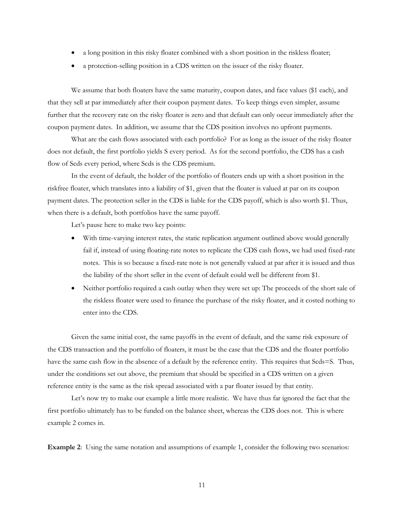- a long position in this risky floater combined with a short position in the riskless floater;
- a protection-selling position in a CDS written on the issuer of the risky floater.

We assume that both floaters have the same maturity, coupon dates, and face values (\$1 each), and that they sell at par immediately after their coupon payment dates. To keep things even simpler, assume further that the recovery rate on the risky floater is zero and that default can only occur immediately after the coupon payment dates. In addition, we assume that the CDS position involves no upfront payments.

What are the cash flows associated with each portfolio? For as long as the issuer of the risky floater does not default, the first portfolio yields S every period. As for the second portfolio, the CDS has a cash flow of Scds every period, where Scds is the CDS premium.

In the event of default, the holder of the portfolio of floaters ends up with a short position in the riskfree floater, which translates into a liability of \$1, given that the floater is valued at par on its coupon payment dates. The protection seller in the CDS is liable for the CDS payoff, which is also worth \$1. Thus, when there is a default, both portfolios have the same payoff.

Let's pause here to make two key points:

- With time-varying interest rates, the static replication argument outlined above would generally fail if, instead of using floating-rate notes to replicate the CDS cash flows, we had used fixed-rate notes. This is so because a fixed-rate note is not generally valued at par after it is issued and thus the liability of the short seller in the event of default could well be different from \$1.
- Neither portfolio required a cash outlay when they were set up: The proceeds of the short sale of the riskless floater were used to finance the purchase of the risky floater, and it costed nothing to enter into the CDS.

Given the same initial cost, the same payoffs in the event of default, and the same risk exposure of the CDS transaction and the portfolio of floaters, it must be the case that the CDS and the floater portfolio have the same cash flow in the absence of a default by the reference entity. This requires that Scds=S. Thus, under the conditions set out above, the premium that should be specified in a CDS written on a given reference entity is the same as the risk spread associated with a par floater issued by that entity.

Let's now try to make our example a little more realistic. We have thus far ignored the fact that the first portfolio ultimately has to be funded on the balance sheet, whereas the CDS does not. This is where example 2 comes in.

**Example 2**: Using the same notation and assumptions of example 1, consider the following two scenarios: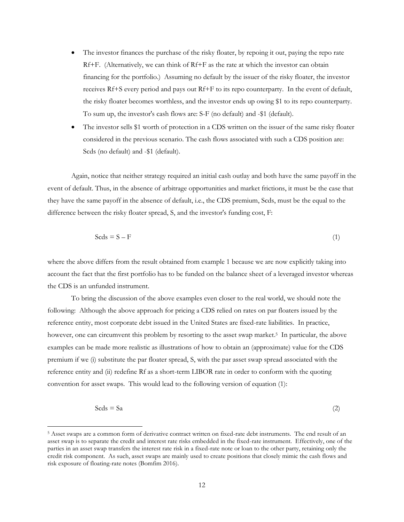- The investor finances the purchase of the risky floater, by repoing it out, paying the repo rate Rf+F. (Alternatively, we can think of Rf+F as the rate at which the investor can obtain financing for the portfolio.) Assuming no default by the issuer of the risky floater, the investor receives Rf+S every period and pays out Rf+F to its repo counterparty. In the event of default, the risky floater becomes worthless, and the investor ends up owing \$1 to its repo counterparty. To sum up, the investor's cash flows are: S-F (no default) and -\$1 (default).
- The investor sells \$1 worth of protection in a CDS written on the issuer of the same risky floater considered in the previous scenario. The cash flows associated with such a CDS position are: Scds (no default) and -\$1 (default).

Again, notice that neither strategy required an initial cash outlay and both have the same payoff in the event of default. Thus, in the absence of arbitrage opportunities and market frictions, it must be the case that they have the same payoff in the absence of default, i.e., the CDS premium, Scds, must be the equal to the difference between the risky floater spread, S, and the investor's funding cost, F:

$$
Scds = S - F \tag{1}
$$

where the above differs from the result obtained from example 1 because we are now explicitly taking into account the fact that the first portfolio has to be funded on the balance sheet of a leveraged investor whereas the CDS is an unfunded instrument.

To bring the discussion of the above examples even closer to the real world, we should note the following: Although the above approach for pricing a CDS relied on rates on par floaters issued by the reference entity, most corporate debt issued in the United States are fixed-rate liabilities. In practice, however, one can circumvent this problem by resorting to the asset swap market.<sup>5</sup> In particular, the above examples can be made more realistic as illustrations of how to obtain an (approximate) value for the CDS premium if we (i) substitute the par floater spread, S, with the par asset swap spread associated with the reference entity and (ii) redefine Rf as a short-term LIBOR rate in order to conform with the quoting convention for asset swaps. This would lead to the following version of equation (1):

$$
Scds = Sa \tag{2}
$$

<sup>5</sup> Asset swaps are a common form of derivative contract written on fixed-rate debt instruments. The end result of an asset swap is to separate the credit and interest rate risks embedded in the fixed-rate instrument. Effectively, one of the parties in an asset swap transfers the interest rate risk in a fixed-rate note or loan to the other party, retaining only the credit risk component. As such, asset swaps are mainly used to create positions that closely mimic the cash flows and risk exposure of floating-rate notes (Bomfim 2016).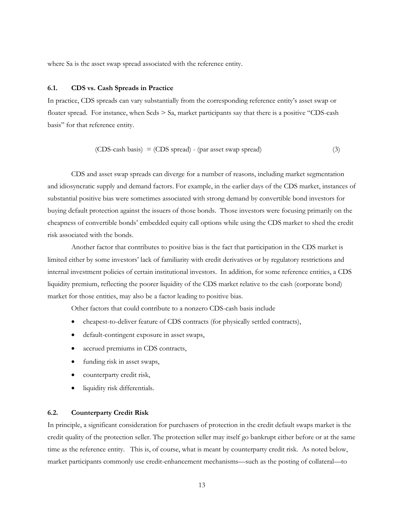where Sa is the asset swap spread associated with the reference entity.

#### **6.1. CDS vs. Cash Spreads in Practice**

In practice, CDS spreads can vary substantially from the corresponding reference entity's asset swap or floater spread. For instance, when  $Scds > Sa$ , market participants say that there is a positive "CDS-cash" basis" for that reference entity.

$$
(CDS-cash basis) = (CDS spread) - (par asset swap spread)
$$
\n(3)

CDS and asset swap spreads can diverge for a number of reasons, including market segmentation and idiosyncratic supply and demand factors. For example, in the earlier days of the CDS market, instances of substantial positive bias were sometimes associated with strong demand by convertible bond investors for buying default protection against the issuers of those bonds. Those investors were focusing primarily on the cheapness of convertible bonds' embedded equity call options while using the CDS market to shed the credit risk associated with the bonds.

Another factor that contributes to positive bias is the fact that participation in the CDS market is limited either by some investors' lack of familiarity with credit derivatives or by regulatory restrictions and internal investment policies of certain institutional investors. In addition, for some reference entities, a CDS liquidity premium, reflecting the poorer liquidity of the CDS market relative to the cash (corporate bond) market for those entities, may also be a factor leading to positive bias.

Other factors that could contribute to a nonzero CDS-cash basis include

- cheapest-to-deliver feature of CDS contracts (for physically settled contracts),
- default-contingent exposure in asset swaps,
- accrued premiums in CDS contracts,
- funding risk in asset swaps,
- counterparty credit risk,
- liquidity risk differentials.

## **6.2. Counterparty Credit Risk**

In principle, a significant consideration for purchasers of protection in the credit default swaps market is the credit quality of the protection seller. The protection seller may itself go bankrupt either before or at the same time as the reference entity. This is, of course, what is meant by counterparty credit risk. As noted below, market participants commonly use credit-enhancement mechanisms—such as the posting of collateral—to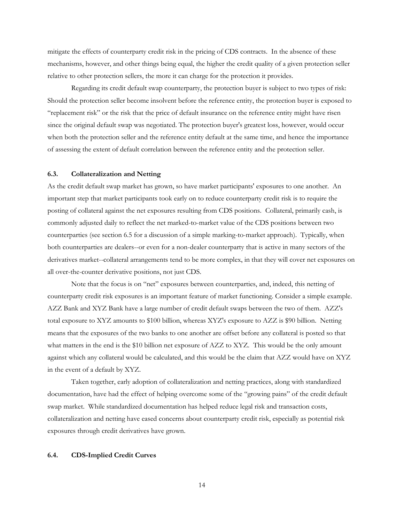mitigate the effects of counterparty credit risk in the pricing of CDS contracts. In the absence of these mechanisms, however, and other things being equal, the higher the credit quality of a given protection seller relative to other protection sellers, the more it can charge for the protection it provides.

Regarding its credit default swap counterparty, the protection buyer is subject to two types of risk: Should the protection seller become insolvent before the reference entity, the protection buyer is exposed to "replacement risk" or the risk that the price of default insurance on the reference entity might have risen since the original default swap was negotiated. The protection buyer's greatest loss, however, would occur when both the protection seller and the reference entity default at the same time, and hence the importance of assessing the extent of default correlation between the reference entity and the protection seller.

## **6.3. Collateralization and Netting**

As the credit default swap market has grown, so have market participants' exposures to one another. An important step that market participants took early on to reduce counterparty credit risk is to require the posting of collateral against the net exposures resulting from CDS positions. Collateral, primarily cash, is commonly adjusted daily to reflect the net marked-to-market value of the CDS positions between two counterparties (see section 6.5 for a discussion of a simple marking-to-market approach). Typically, when both counterparties are dealers--or even for a non-dealer counterparty that is active in many sectors of the derivatives market--collateral arrangements tend to be more complex, in that they will cover net exposures on all over-the-counter derivative positions, not just CDS.

Note that the focus is on "net" exposures between counterparties, and, indeed, this netting of counterparty credit risk exposures is an important feature of market functioning. Consider a simple example. AZZ Bank and XYZ Bank have a large number of credit default swaps between the two of them. AZZ's total exposure to XYZ amounts to \$100 billion, whereas XYZ's exposure to AZZ is \$90 billion. Netting means that the exposures of the two banks to one another are offset before any collateral is posted so that what matters in the end is the \$10 billion net exposure of AZZ to XYZ. This would be the only amount against which any collateral would be calculated, and this would be the claim that AZZ would have on XYZ in the event of a default by XYZ.

Taken together, early adoption of collateralization and netting practices, along with standardized documentation, have had the effect of helping overcome some of the "growing pains" of the credit default swap market. While standardized documentation has helped reduce legal risk and transaction costs, collateralization and netting have eased concerns about counterparty credit risk, especially as potential risk exposures through credit derivatives have grown.

#### **6.4. CDS-Implied Credit Curves**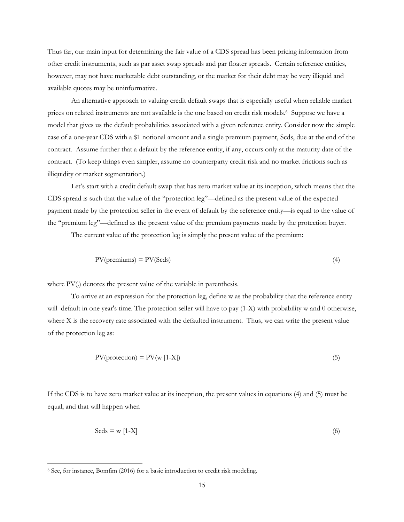Thus far, our main input for determining the fair value of a CDS spread has been pricing information from other credit instruments, such as par asset swap spreads and par floater spreads. Certain reference entities, however, may not have marketable debt outstanding, or the market for their debt may be very illiquid and available quotes may be uninformative.

An alternative approach to valuing credit default swaps that is especially useful when reliable market prices on related instruments are not available is the one based on credit risk models.<sup>6</sup> Suppose we have a model that gives us the default probabilities associated with a given reference entity. Consider now the simple case of a one-year CDS with a \$1 notional amount and a single premium payment, Scds, due at the end of the contract. Assume further that a default by the reference entity, if any, occurs only at the maturity date of the contract. (To keep things even simpler, assume no counterparty credit risk and no market frictions such as illiquidity or market segmentation.)

Let's start with a credit default swap that has zero market value at its inception, which means that the CDS spread is such that the value of the "protection leg"—defined as the present value of the expected payment made by the protection seller in the event of default by the reference entity—is equal to the value of the "premium leg"—defined as the present value of the premium payments made by the protection buyer.

The current value of the protection leg is simply the present value of the premium:

$$
PV(premiums) = PV(Scds)
$$
\n<sup>(4)</sup>

where PV(.) denotes the present value of the variable in parenthesis.

To arrive at an expression for the protection leg, define w as the probability that the reference entity will default in one year's time. The protection seller will have to pay  $(1-X)$  with probability w and 0 otherwise, where X is the recovery rate associated with the defaulted instrument. Thus, we can write the present value of the protection leg as:

$$
PV(protection) = PV(w [1-X])
$$
\n(5)

If the CDS is to have zero market value at its inception, the present values in equations (4) and (5) must be equal, and that will happen when

$$
Scds \equiv w \ [1-X] \tag{6}
$$

<sup>&</sup>lt;sup>6</sup> See, for instance, Bomfim (2016) for a basic introduction to credit risk modeling.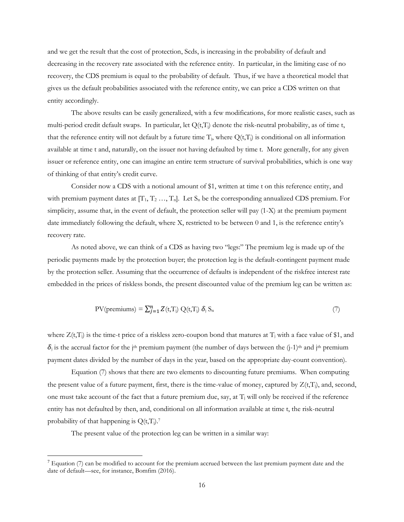and we get the result that the cost of protection, Scds, is increasing in the probability of default and decreasing in the recovery rate associated with the reference entity. In particular, in the limiting case of no recovery, the CDS premium is equal to the probability of default. Thus, if we have a theoretical model that gives us the default probabilities associated with the reference entity, we can price a CDS written on that entity accordingly.

The above results can be easily generalized, with a few modifications, for more realistic cases, such as multi-period credit default swaps. In particular, let  $Q(t,T_i)$  denote the risk-neutral probability, as of time t, that the reference entity will not default by a future time  $T_i$ , where  $Q(t,T_i)$  is conditional on all information available at time t and, naturally, on the issuer not having defaulted by time t. More generally, for any given issuer or reference entity, one can imagine an entire term structure of survival probabilities, which is one way of thinking of that entity's credit curve.

Consider now a CDS with a notional amount of \$1, written at time t on this reference entity, and with premium payment dates at  $[T_1, T_2, ..., T_n]$ . Let  $S_n$  be the corresponding annualized CDS premium. For simplicity, assume that, in the event of default, the protection seller will pay (1-X) at the premium payment date immediately following the default, where X, restricted to be between 0 and 1, is the reference entity's recovery rate.

As noted above, we can think of a CDS as having two "legs:" The premium leg is made up of the periodic payments made by the protection buyer; the protection leg is the default-contingent payment made by the protection seller. Assuming that the occurrence of defaults is independent of the riskfree interest rate embedded in the prices of riskless bonds, the present discounted value of the premium leg can be written as:

$$
PV(premiums) = \sum_{j=1}^{n} Z(t,T_j) Q(t,T_j) \delta_j S_n
$$
 (7)

where  $Z(t,T_i)$  is the time-t price of a riskless zero-coupon bond that matures at  $T_i$  with a face value of \$1, and  $\delta_i$  is the accrual factor for the j<sup>th</sup> premium payment (the number of days between the (j-1)<sup>th</sup> and j<sup>th</sup> premium payment dates divided by the number of days in the year, based on the appropriate day-count convention).

Equation (7) shows that there are two elements to discounting future premiums. When computing the present value of a future payment, first, there is the time-value of money, captured by  $Z(t,T_i)$ , and, second, one must take account of the fact that a future premium due, say, at  $T_i$  will only be received if the reference entity has not defaulted by then, and, conditional on all information available at time t, the risk-neutral probability of that happening is  $Q(t,T_i)$ .<sup>7</sup>

The present value of the protection leg can be written in a similar way:

 $<sup>7</sup>$  Equation (7) can be modified to account for the premium accrued between the last premium payment date and the</sup> date of default—see, for instance, Bomfim (2016).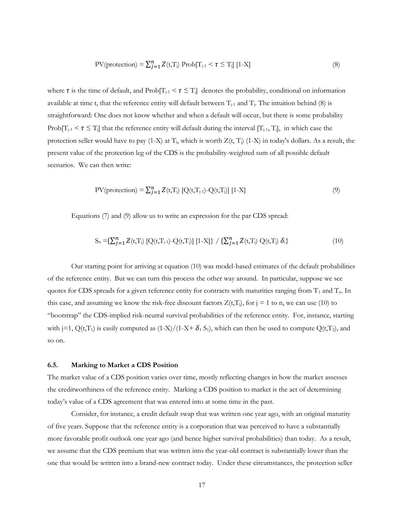$$
PV(\text{protection}) = \sum_{j=1}^{n} Z(t, T_j) \text{Prob}[T_{j-1} < \tau \le T_j] \text{ [1-X]} \tag{8}
$$

where  $\tau$  is the time of default, and Prob[T<sub>j-1</sub>  $\tau \leq T_i$ ] denotes the probability, conditional on information available at time t, that the reference entity will default between  $T_{i-1}$  and  $T_i$ . The intuition behind (8) is straightforward: One does not know whether and when a default will occur, but there is some probability Prob $[T_{j-1} < \tau \leq T_j]$  that the reference entity will default during the interval  $[T_{j-1}, T_j]$ , in which case the protection seller would have to pay  $(1-X)$  at  $T_i$ , which is worth  $Z(t, T_i)$   $(1-X)$  in today's dollars. As a result, the present value of the protection leg of the CDS is the probability-weighted sum of all possible default scenarios. We can then write:

PV(protection) = 
$$
\sum_{j=1}^{n} Z(t,T_j) [Q(t,T_{j-1})-Q(t,T_j)] [1-X]
$$
 (9)

Equations (7) and (9) allow us to write an expression for the par CDS spread:

$$
S_n = \left\{ \sum_{j=1}^n Z(t, T_j) \left[ Q(t, T_{j-1}) - Q(t, T_j) \right] \left[ 1 - X \right] \right\} / \left\{ \sum_{j=1}^n Z(t, T_j) \left[ Q(t, T_j) \delta_j \right] \right\} \tag{10}
$$

Our starting point for arriving at equation (10) was model-based estimates of the default probabilities of the reference entity. But we can turn this process the other way around. In particular, suppose we see quotes for CDS spreads for a given reference entity for contracts with maturities ranging from  $T_1$  and  $T_n$ . In this case, and assuming we know the risk-free discount factors  $Z(t,T_i)$ , for  $j = 1$  to n, we can use (10) to "bootstrap" the CDS-implied risk-neutral survival probabilities of the reference entity. For, instance, starting with j=1,  $Q(t,T_1)$  is easily computed as  $(1-X)/(1-X+\delta_1 S_1)$ , which can then be used to compute  $Q(t,T_2)$ , and so on.

#### **6.5. Marking to Market a CDS Position**

The market value of a CDS position varies over time, mostly reflecting changes in how the market assesses the creditworthiness of the reference entity. Marking a CDS position to market is the act of determining today's value of a CDS agreement that was entered into at some time in the past.

Consider, for instance, a credit default swap that was written one year ago, with an original maturity of five years. Suppose that the reference entity is a corporation that was perceived to have a substantially more favorable profit outlook one year ago (and hence higher survival probabilities) than today. As a result, we assume that the CDS premium that was written into the year-old contract is substantially lower than the one that would be written into a brand-new contract today. Under these circumstances, the protection seller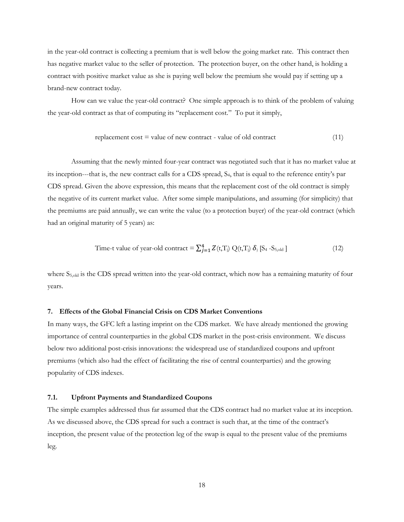in the year-old contract is collecting a premium that is well below the going market rate. This contract then has negative market value to the seller of protection. The protection buyer, on the other hand, is holding a contract with positive market value as she is paying well below the premium she would pay if setting up a brand-new contract today.

How can we value the year-old contract? One simple approach is to think of the problem of valuing the year-old contract as that of computing its "replacement cost." To put it simply,

$$
replacement cost = value of new contract - value of old contract \t(11)
$$

Assuming that the newly minted four-year contract was negotiated such that it has no market value at its inception---that is, the new contract calls for a CDS spread, S4, that is equal to the reference entity's par CDS spread. Given the above expression, this means that the replacement cost of the old contract is simply the negative of its current market value. After some simple manipulations, and assuming (for simplicity) that the premiums are paid annually, we can write the value (to a protection buyer) of the year-old contract (which had an original maturity of 5 years) as:

Time-t value of year-old contract = 
$$
\sum_{j=1}^{4} Z(t,T_j) Q(t,T_j) \delta_j [S_4 - S_{5,old}]
$$
 (12)

where S<sub>5,old</sub> is the CDS spread written into the year-old contract, which now has a remaining maturity of four years.

#### **7. Effects of the Global Financial Crisis on CDS Market Conventions**

In many ways, the GFC left a lasting imprint on the CDS market. We have already mentioned the growing importance of central counterparties in the global CDS market in the post-crisis environment. We discuss below two additional post-crisis innovations: the widespread use of standardized coupons and upfront premiums (which also had the effect of facilitating the rise of central counterparties) and the growing popularity of CDS indexes.

## **7.1. Upfront Payments and Standardized Coupons**

The simple examples addressed thus far assumed that the CDS contract had no market value at its inception. As we discussed above, the CDS spread for such a contract is such that, at the time of the contract's inception, the present value of the protection leg of the swap is equal to the present value of the premiums leg.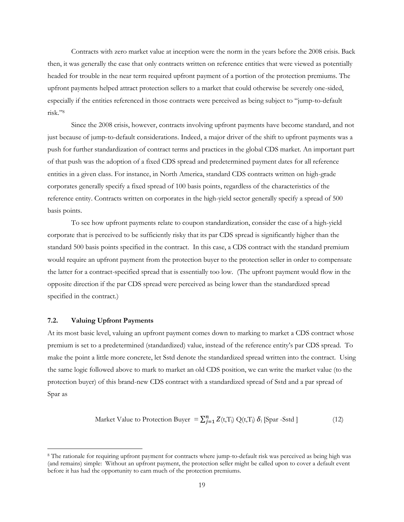Contracts with zero market value at inception were the norm in the years before the 2008 crisis. Back then, it was generally the case that only contracts written on reference entities that were viewed as potentially headed for trouble in the near term required upfront payment of a portion of the protection premiums. The upfront payments helped attract protection sellers to a market that could otherwise be severely one-sided, especially if the entities referenced in those contracts were perceived as being subject to "jump-to-default risk."<sup>8</sup>

Since the 2008 crisis, however, contracts involving upfront payments have become standard, and not just because of jump-to-default considerations. Indeed, a major driver of the shift to upfront payments was a push for further standardization of contract terms and practices in the global CDS market. An important part of that push was the adoption of a fixed CDS spread and predetermined payment dates for all reference entities in a given class. For instance, in North America, standard CDS contracts written on high-grade corporates generally specify a fixed spread of 100 basis points, regardless of the characteristics of the reference entity. Contracts written on corporates in the high-yield sector generally specify a spread of 500 basis points.

To see how upfront payments relate to coupon standardization, consider the case of a high-yield corporate that is perceived to be sufficiently risky that its par CDS spread is significantly higher than the standard 500 basis points specified in the contract. In this case, a CDS contract with the standard premium would require an upfront payment from the protection buyer to the protection seller in order to compensate the latter for a contract-specified spread that is essentially too low. (The upfront payment would flow in the opposite direction if the par CDS spread were perceived as being lower than the standardized spread specified in the contract.)

## **7.2. Valuing Upfront Payments**

At its most basic level, valuing an upfront payment comes down to marking to market a CDS contract whose premium is set to a predetermined (standardized) value, instead of the reference entity's par CDS spread. To make the point a little more concrete, let Sstd denote the standardized spread written into the contract. Using the same logic followed above to mark to market an old CDS position, we can write the market value (to the protection buyer) of this brand-new CDS contract with a standardized spread of Sstd and a par spread of Spar as

Market Value to Protection Buyer = 
$$
\sum_{j=1}^{n} Z(t,T_j) Q(t,T_j) \delta_j
$$
 [Spar-Sstd] (12)

<sup>8</sup> The rationale for requiring upfront payment for contracts where jump-to-default risk was perceived as being high was (and remains) simple: Without an upfront payment, the protection seller might be called upon to cover a default event before it has had the opportunity to earn much of the protection premiums.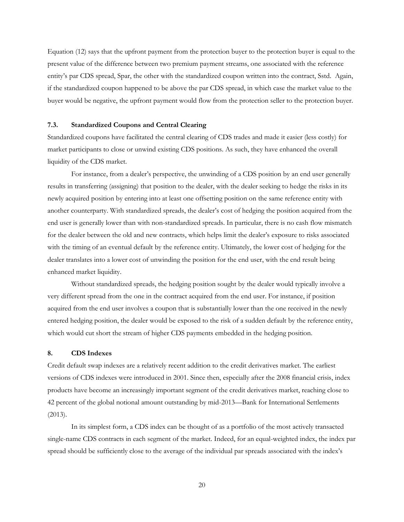Equation (12) says that the upfront payment from the protection buyer to the protection buyer is equal to the present value of the difference between two premium payment streams, one associated with the reference entity's par CDS spread, Spar, the other with the standardized coupon written into the contract, Sstd. Again, if the standardized coupon happened to be above the par CDS spread, in which case the market value to the buyer would be negative, the upfront payment would flow from the protection seller to the protection buyer.

## **7.3. Standardized Coupons and Central Clearing**

Standardized coupons have facilitated the central clearing of CDS trades and made it easier (less costly) for market participants to close or unwind existing CDS positions. As such, they have enhanced the overall liquidity of the CDS market.

For instance, from a dealer's perspective, the unwinding of a CDS position by an end user generally results in transferring (assigning) that position to the dealer, with the dealer seeking to hedge the risks in its newly acquired position by entering into at least one offsetting position on the same reference entity with another counterparty. With standardized spreads, the dealer's cost of hedging the position acquired from the end user is generally lower than with non-standardized spreads. In particular, there is no cash flow mismatch for the dealer between the old and new contracts, which helps limit the dealer's exposure to risks associated with the timing of an eventual default by the reference entity. Ultimately, the lower cost of hedging for the dealer translates into a lower cost of unwinding the position for the end user, with the end result being enhanced market liquidity.

Without standardized spreads, the hedging position sought by the dealer would typically involve a very different spread from the one in the contract acquired from the end user. For instance, if position acquired from the end user involves a coupon that is substantially lower than the one received in the newly entered hedging position, the dealer would be exposed to the risk of a sudden default by the reference entity, which would cut short the stream of higher CDS payments embedded in the hedging position.

#### **8. CDS Indexes**

Credit default swap indexes are a relatively recent addition to the credit derivatives market. The earliest versions of CDS indexes were introduced in 2001. Since then, especially after the 2008 financial crisis, index products have become an increasingly important segment of the credit derivatives market, reaching close to 42 percent of the global notional amount outstanding by mid-2013—Bank for International Settlements (2013).

In its simplest form, a CDS index can be thought of as a portfolio of the most actively transacted single-name CDS contracts in each segment of the market. Indeed, for an equal-weighted index, the index par spread should be sufficiently close to the average of the individual par spreads associated with the index's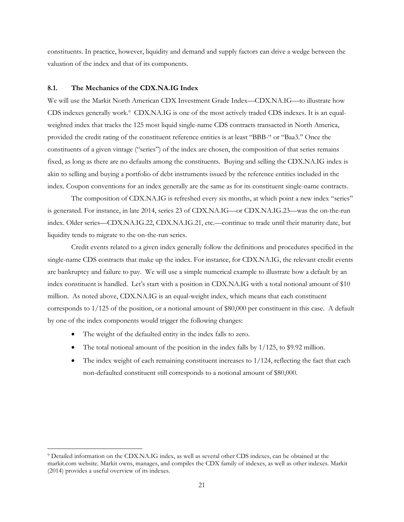constituents. In practice, however, liquidity and demand and supply factors can drive a wedge between the valuation of the index and that of its components.

#### **8.1. The Mechanics of the CDX.NA.IG Index**

We will use the Markit North American CDX Investment Grade Index—CDX.NA.IG—to illustrate how CDS indexes generally work.<sup>9</sup> CDX.NA.IG is one of the most actively traded CDS indexes. It is an equalweighted index that tracks the 125 most liquid single-name CDS contracts transacted in North America, provided the credit rating of the constituent reference entities is at least "BBB-" or "Baa3." Once the constituents of a given vintage ("series") of the index are chosen, the composition of that series remains fixed, as long as there are no defaults among the constituents. Buying and selling the CDX.NA.IG index is akin to selling and buying a portfolio of debt instruments issued by the reference entities included in the index. Coupon conventions for an index generally are the same as for its constituent single-name contracts.

The composition of CDX.NA.IG is refreshed every six months, at which point a new index "series'' is generated. For instance, in late 2014, series 23 of CDX.NA.IG—or CDX.NA.IG.23—was the on-the-run index. Older series—CDX.NA.IG.22, CDX.NA.IG.21, etc.—continue to trade until their maturity date, but liquidity tends to migrate to the on-the-run series.

Credit events related to a given index generally follow the definitions and procedures specified in the single-name CDS contracts that make up the index. For instance, for CDX.NA.IG, the relevant credit events are bankruptcy and failure to pay. We will use a simple numerical example to illustrate how a default by an index constituent is handled. Let's start with a position in CDX.NA.IG with a total notional amount of \$10 million. As noted above, CDX.NA.IG is an equal-weight index, which means that each constituent corresponds to 1/125 of the position, or a notional amount of \$80,000 per constituent in this case. A default by one of the index components would trigger the following changes:

- The weight of the defaulted entity in the index falls to zero.
- The total notional amount of the position in the index falls by  $1/125$ , to \$9.92 million.
- The index weight of each remaining constituent increases to  $1/124$ , reflecting the fact that each non-defaulted constituent still corresponds to a notional amount of \$80,000.

<sup>9</sup> Detailed information on the CDX.NA.IG index, as well as several other CDS indexes, can be obtained at the markit.com website. Markit owns, manages, and compiles the CDX family of indexes, as well as other indexes. Markit (2014) provides a useful overview of its indexes.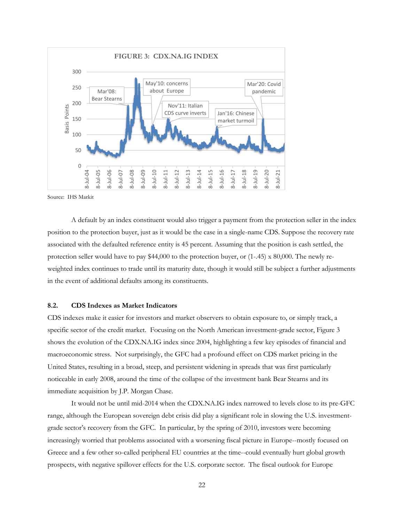

Source: IHS Markit

A default by an index constituent would also trigger a payment from the protection seller in the index position to the protection buyer, just as it would be the case in a single-name CDS. Suppose the recovery rate associated with the defaulted reference entity is 45 percent. Assuming that the position is cash settled, the protection seller would have to pay \$44,000 to the protection buyer, or (1-.45) x 80,000. The newly reweighted index continues to trade until its maturity date, though it would still be subject a further adjustments in the event of additional defaults among its constituents.

# **8.2. CDS Indexes as Market Indicators**

CDS indexes make it easier for investors and market observers to obtain exposure to, or simply track, a specific sector of the credit market. Focusing on the North American investment-grade sector, Figure 3 shows the evolution of the CDX.NA.IG index since 2004, highlighting a few key episodes of financial and macroeconomic stress. Not surprisingly, the GFC had a profound effect on CDS market pricing in the United States, resulting in a broad, steep, and persistent widening in spreads that was first particularly noticeable in early 2008, around the time of the collapse of the investment bank Bear Stearns and its immediate acquisition by J.P. Morgan Chase.

It would not be until mid-2014 when the CDX.NA.IG index narrowed to levels close to its pre-GFC range, although the European sovereign debt crisis did play a significant role in slowing the U.S. investmentgrade sector's recovery from the GFC. In particular, by the spring of 2010, investors were becoming increasingly worried that problems associated with a worsening fiscal picture in Europe--mostly focused on Greece and a few other so-called peripheral EU countries at the time--could eventually hurt global growth prospects, with negative spillover effects for the U.S. corporate sector. The fiscal outlook for Europe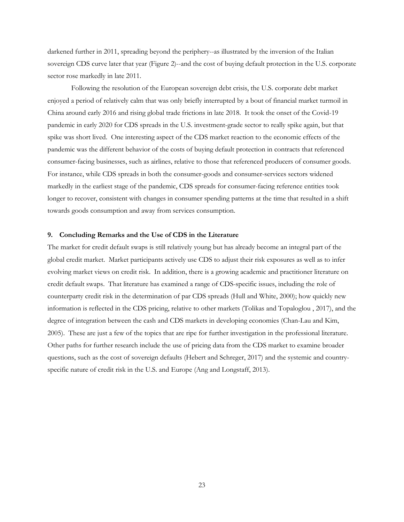darkened further in 2011, spreading beyond the periphery--as illustrated by the inversion of the Italian sovereign CDS curve later that year (Figure 2)--and the cost of buying default protection in the U.S. corporate sector rose markedly in late 2011.

Following the resolution of the European sovereign debt crisis, the U.S. corporate debt market enjoyed a period of relatively calm that was only briefly interrupted by a bout of financial market turmoil in China around early 2016 and rising global trade frictions in late 2018. It took the onset of the Covid-19 pandemic in early 2020 for CDS spreads in the U.S. investment-grade sector to really spike again, but that spike was short lived. One interesting aspect of the CDS market reaction to the economic effects of the pandemic was the different behavior of the costs of buying default protection in contracts that referenced consumer-facing businesses, such as airlines, relative to those that referenced producers of consumer goods. For instance, while CDS spreads in both the consumer-goods and consumer-services sectors widened markedly in the earliest stage of the pandemic, CDS spreads for consumer-facing reference entities took longer to recover, consistent with changes in consumer spending patterns at the time that resulted in a shift towards goods consumption and away from services consumption.

#### **9. Concluding Remarks and the Use of CDS in the Literature**

The market for credit default swaps is still relatively young but has already become an integral part of the global credit market. Market participants actively use CDS to adjust their risk exposures as well as to infer evolving market views on credit risk. In addition, there is a growing academic and practitioner literature on credit default swaps. That literature has examined a range of CDS-specific issues, including the role of counterparty credit risk in the determination of par CDS spreads (Hull and White, 2000); how quickly new information is reflected in the CDS pricing, relative to other markets (Tolikas and Topaloglou , 2017), and the degree of integration between the cash and CDS markets in developing economies (Chan-Lau and Kim, 2005). These are just a few of the topics that are ripe for further investigation in the professional literature. Other paths for further research include the use of pricing data from the CDS market to examine broader questions, such as the cost of sovereign defaults (Hebert and Schreger, 2017) and the systemic and countryspecific nature of credit risk in the U.S. and Europe (Ang and Longstaff, 2013).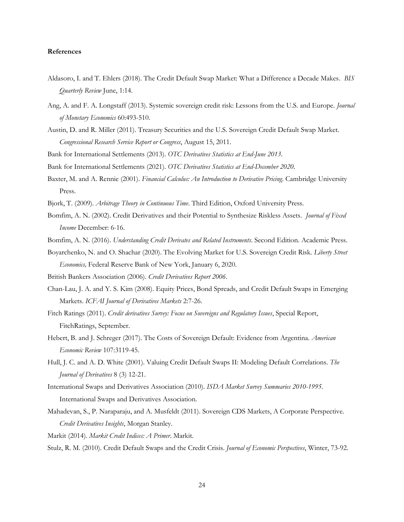#### **References**

- [Aldasoro, I. and T. Ehlers \(2018\). The Credit Default Swap Market: What a Difference a Decade Makes.](https://papers.ssrn.com/sol3/papers.cfm?abstract_id=3193502) *BIS Quarterly Review* June, 1:14.
- Ang, A. and F. A. Longstaff (2013). Systemic sovereign credit risk: Lessons from the U.S. and Europe. *[Journal](https://www.sciencedirect.com/science/journal/03043932)  [of Monetary Economics](https://www.sciencedirect.com/science/journal/03043932)* 60:493-510.
- Austin, D. and R. Miller (2011). Treasury Securities and the U.S. Sovereign Credit Default Swap Market. *Congressional Research Service Report or Congress*, August 15, 2011.

Bank for International Settlements (2013). *OTC Derivatives Statistics at End-June 2013*.

- Bank for International Settlements (2021). *OTC Derivatives Statistics at End-December 2020*.
- Baxter, M. and A. Rennie (2001). *Financial Calculus: An Introduction to Derivative Pricing*. Cambridge University Press.
- Bjork, T. (2009). *Arbitrage Theory in Continuous Time*. Third Edition, Oxford University Press.
- Bomfim, A. N. (2002). Credit Derivatives and their Potential to Synthesize Riskless Assets. *Journal of Fixed Income* December: 6-16.
- Bomfim, A. N. (2016). *Understanding Credit Derivates and Related Instruments*. Second Edition. Academic Press.
- Boyarchenko, N. and O. Shachar (2020). The Evolving Market for U.S. Sovereign Credit Risk. *Liberty Street Economics,* Federal Reserve Bank of New York, January 6, 2020.
- British Bankers Association (2006). *Credit Derivatives Report 2006*.
- Chan-Lau, J. A. and Y. S. Kim (2008). Equity Prices, Bond Spreads, and Credit Default Swaps in Emerging Markets. *ICFAI Journal of Derivatives Markets* 2:7-26.

Fitch Ratings (2011). *Credit derivatives Survey: Focus on Sovereigns and Regulatory Issues*, Special Report, FitchRatings, September.

- Hebert, B. and J. Schreger (2017). The Costs of Sovereign Default: Evidence from Argentina. *American Economic Review* 107:3119-45.
- Hull, J. C. and A. D. White (2001). Valuing Credit Default Swaps II: Modeling Default Correlations. *The Journal of Derivatives* 8 (3) 12-21.
- International Swaps and Derivatives Association (2010). *ISDA Market Survey Summaries 2010-1995*. International Swaps and Derivatives Association.
- Mahadevan, S., P. Naraparaju, and A. Musfeldt (2011). Sovereign CDS Markets, A Corporate Perspective. *Credit Derivatives Insights*, Morgan Stanley.

Markit (2014). *Markit Credit Indices: A Primer*. Markit.

Stulz, R. M. (2010). Credit [Default](https://www.aeaweb.org/articles?id=10.1257/jep.24.1.73) Swaps and the Credit Crisis. *Journal of Economic Perspectives*, Winter, 73-92.